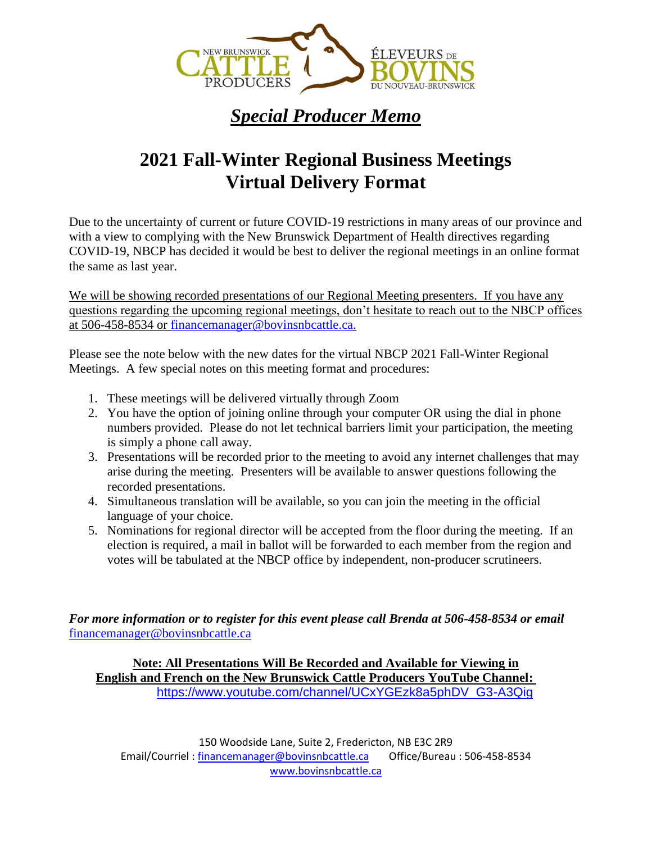

## *Special Producer Memo*

## **2021 Fall-Winter Regional Business Meetings Virtual Delivery Format**

Due to the uncertainty of current or future COVID-19 restrictions in many areas of our province and with a view to complying with the New Brunswick Department of Health directives regarding COVID-19, NBCP has decided it would be best to deliver the regional meetings in an online format the same as last year.

We will be showing recorded presentations of our Regional Meeting presenters. If you have any questions regarding the upcoming regional meetings, don't hesitate to reach out to the NBCP offices at 506-458-8534 or [financemanager@bovinsnbcattle.ca.](mailto:financemanager@bovinsnbcattle.ca)

Please see the note below with the new dates for the virtual NBCP 2021 Fall-Winter Regional Meetings. A few special notes on this meeting format and procedures:

- 1. These meetings will be delivered virtually through Zoom
- 2. You have the option of joining online through your computer OR using the dial in phone numbers provided. Please do not let technical barriers limit your participation, the meeting is simply a phone call away.
- 3. Presentations will be recorded prior to the meeting to avoid any internet challenges that may arise during the meeting. Presenters will be available to answer questions following the recorded presentations.
- 4. Simultaneous translation will be available, so you can join the meeting in the official language of your choice.
- 5. Nominations for regional director will be accepted from the floor during the meeting. If an election is required, a mail in ballot will be forwarded to each member from the region and votes will be tabulated at the NBCP office by independent, non-producer scrutineers.

*For more information or to register for this event please call Brenda at 506-458-8534 or email*  [financemanager@bovinsnbcattle.ca](mailto:financemanager@bovinsnbcattle.ca)

**Note: All Presentations Will Be Recorded and Available for Viewing in English and French on the New Brunswick Cattle Producers YouTube Channel:**  [https://www.youtube.com/channel/UCxYGEzk8a5phDV\\_G3-A3Qig](https://www.youtube.com/channel/UCxYGEzk8a5phDV_G3-A3Qig)

150 Woodside Lane, Suite 2, Fredericton, NB E3C 2R9 Email/Courriel [: financemanager@bovinsnbcattle.ca](mailto:financemanager@bovinsnbcattle.ca) Office/Bureau : 506-458-8534 [www.bovinsnbcattle.ca](http://www.bovinsnbcattle.ca/)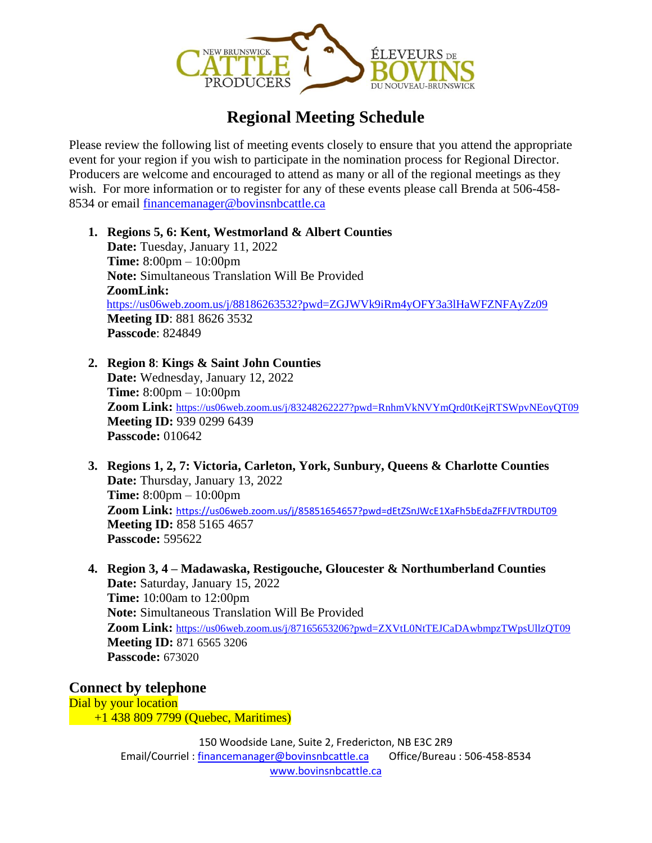

## **Regional Meeting Schedule**

Please review the following list of meeting events closely to ensure that you attend the appropriate event for your region if you wish to participate in the nomination process for Regional Director. Producers are welcome and encouraged to attend as many or all of the regional meetings as they wish. For more information or to register for any of these events please call Brenda at 506-458-8534 or email [financemanager@bovinsnbcattle.ca](mailto:financemanager@bovinsnbcattle.ca)

- **1. Regions 5, 6: Kent, Westmorland & Albert Counties Date:** Tuesday, January 11, 2022 **Time:** 8:00pm – 10:00pm **Note:** Simultaneous Translation Will Be Provided **ZoomLink:**  <https://us06web.zoom.us/j/88186263532?pwd=ZGJWVk9iRm4yOFY3a3lHaWFZNFAyZz09> **Meeting ID**: 881 8626 3532 **Passcode**: 824849
- **2. Region 8**: **Kings & Saint John Counties Date:** Wednesday, January 12, 2022 **Time:** 8:00pm – 10:00pm **Zoom Link:** <https://us06web.zoom.us/j/83248262227?pwd=RnhmVkNVYmQrd0tKejRTSWpvNEoyQT09> **Meeting ID:** 939 0299 6439 **Passcode:** 010642
- **3. Regions 1, 2, 7: Victoria, Carleton, York, Sunbury, Queens & Charlotte Counties Date:** Thursday, January 13, 2022 **Time:** 8:00pm – 10:00pm **Zoom Link:** <https://us06web.zoom.us/j/85851654657?pwd=dEtZSnJWcE1XaFh5bEdaZFFJVTRDUT09> **Meeting ID:** 858 5165 4657 **Passcode:** 595622
- **4. Region 3, 4 – Madawaska, Restigouche, Gloucester & Northumberland Counties Date:** Saturday, January 15, 2022 **Time:** 10:00am to 12:00pm **Note:** Simultaneous Translation Will Be Provided **Zoom Link:** <https://us06web.zoom.us/j/87165653206?pwd=ZXVtL0NtTEJCaDAwbmpzTWpsUllzQT09> **Meeting ID:** 871 6565 3206 **Passcode:** 673020

**Connect by telephone** Dial by your location +1 438 809 7799 (Quebec, Maritimes)

> 150 Woodside Lane, Suite 2, Fredericton, NB E3C 2R9 Email/Courriel [: financemanager@bovinsnbcattle.ca](mailto:financemanager@bovinsnbcattle.ca) Office/Bureau : 506-458-8534 [www.bovinsnbcattle.ca](http://www.bovinsnbcattle.ca/)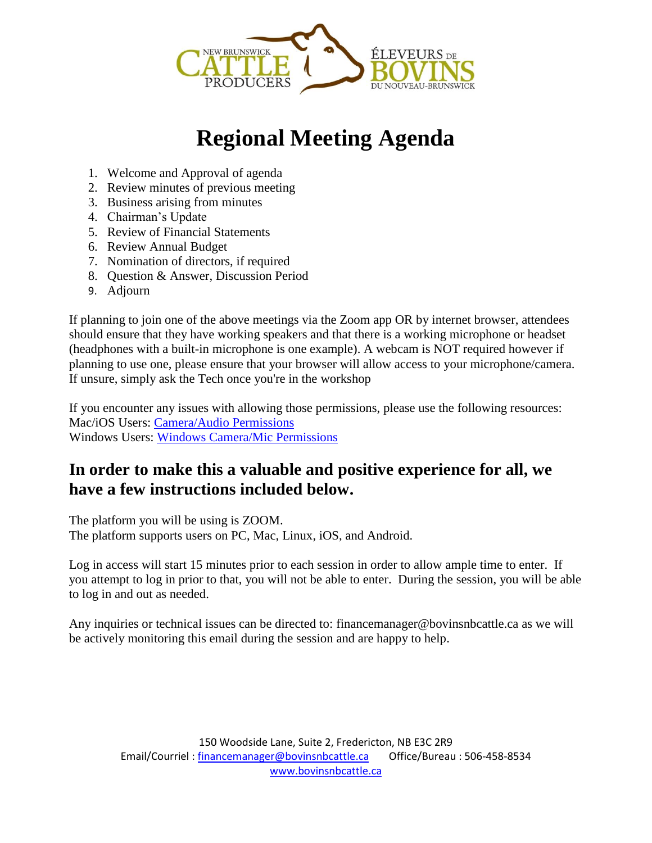

# **Regional Meeting Agenda**

- 1. Welcome and Approval of agenda
- 2. Review minutes of previous meeting
- 3. Business arising from minutes
- 4. Chairman's Update
- 5. Review of Financial Statements
- 6. Review Annual Budget
- 7. Nomination of directors, if required
- 8. Question & Answer, Discussion Period
- 9. Adjourn

If planning to join one of the above meetings via the Zoom app OR by internet browser, attendees should ensure that they have working speakers and that there is a working microphone or headset (headphones with a built-in microphone is one example). A webcam is NOT required however if planning to use one, please ensure that your browser will allow access to your microphone/camera. If unsure, simply ask the Tech once you're in the workshop

If you encounter any issues with allowing those permissions, please use the following resources: Mac/iOS Users: [Camera/Audio Permissions](https://support.zoom.us/hc/en-us/articles/360016688031-Using-the-Zoom-Client-and-Zoom-Rooms-with-macOS) Windows Users: [Windows Camera/Mic Permissions](https://answers.syr.edu/pages/viewpage.action?pageId=113967455)

### **In order to make this a valuable and positive experience for all, we have a few instructions included below.**

The platform you will be using is ZOOM. The platform supports users on PC, Mac, Linux, iOS, and Android.

Log in access will start 15 minutes prior to each session in order to allow ample time to enter. If you attempt to log in prior to that, you will not be able to enter. During the session, you will be able to log in and out as needed.

Any inquiries or technical issues can be directed to: financemanager@bovinsnbcattle.ca as we will be actively monitoring this email during the session and are happy to help.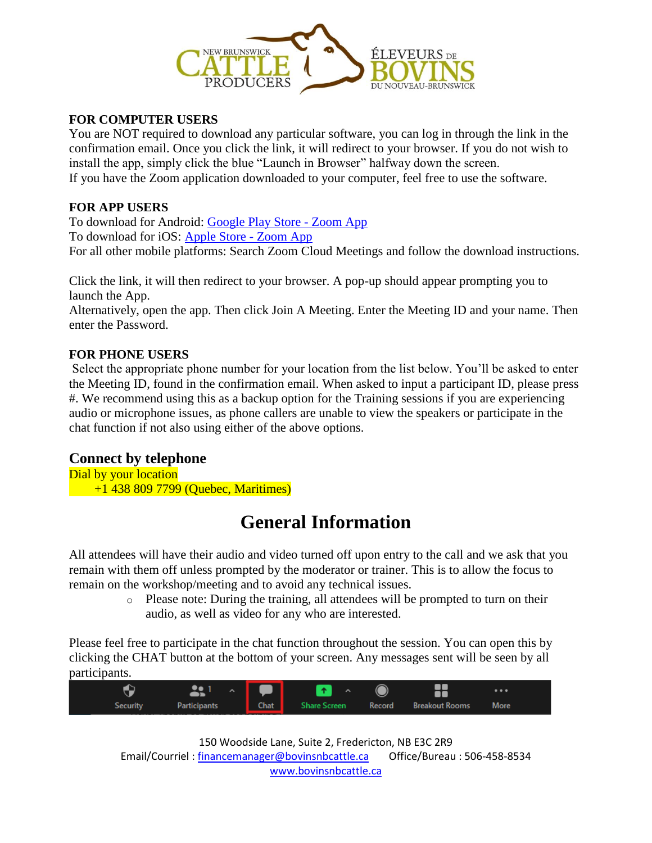

#### **FOR COMPUTER USERS**

You are NOT required to download any particular software, you can log in through the link in the confirmation email. Once you click the link, it will redirect to your browser. If you do not wish to install the app, simply click the blue "Launch in Browser" halfway down the screen. If you have the Zoom application downloaded to your computer, feel free to use the software.

#### **FOR APP USERS**

To download for Android: [Google Play Store -](https://play.google.com/store/apps/details?id=us.zoom.videomeetings) Zoom App To download for iOS: [Apple Store -](https://apps.apple.com/ca/app/zoom-cloud-meetings/id546505307) Zoom App For all other mobile platforms: Search Zoom Cloud Meetings and follow the download instructions.

Click the link, it will then redirect to your browser. A pop-up should appear prompting you to launch the App. Alternatively, open the app. Then click Join A Meeting. Enter the Meeting ID and your name. Then enter the Password.

#### **FOR PHONE USERS**

Select the appropriate phone number for your location from the list below. You'll be asked to enter the Meeting ID, found in the confirmation email. When asked to input a participant ID, please press #. We recommend using this as a backup option for the Training sessions if you are experiencing audio or microphone issues, as phone callers are unable to view the speakers or participate in the chat function if not also using either of the above options.

#### **Connect by telephone**

Dial by your location +1 438 809 7799 (Quebec, Maritimes)

# **General Information**

All attendees will have their audio and video turned off upon entry to the call and we ask that you remain with them off unless prompted by the moderator or trainer. This is to allow the focus to remain on the workshop/meeting and to avoid any technical issues.

> $\circ$  Please note: During the training, all attendees will be prompted to turn on their audio, as well as video for any who are interested.

Please feel free to participate in the chat function throughout the session. You can open this by clicking the CHAT button at the bottom of your screen. Any messages sent will be seen by all participants.

|          | 21 - I 두 I   | $\bullet$ $\bullet$ $\bullet$                  |  | $\cdots$ |  |
|----------|--------------|------------------------------------------------|--|----------|--|
| Security | Participants | <b>Chat</b> Share Screen Record Breakout Rooms |  | More     |  |

150 Woodside Lane, Suite 2, Fredericton, NB E3C 2R9 Email/Courriel [: financemanager@bovinsnbcattle.ca](mailto:financemanager@bovinsnbcattle.ca) Office/Bureau : 506-458-8534 [www.bovinsnbcattle.ca](http://www.bovinsnbcattle.ca/)